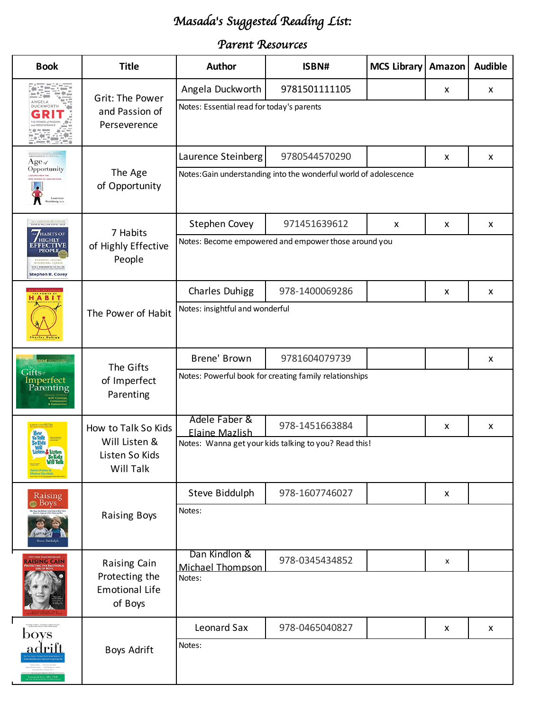# *Masada*'*s Suggested Reading List:*

### *Parent Resources*

| <b>Book</b>                                                                                                                        | <b>Title</b>                                                              | <b>Author</b>                                                     | ISBN#                                                  | MCS Library   Amazon |   | <b>Audible</b> |  |
|------------------------------------------------------------------------------------------------------------------------------------|---------------------------------------------------------------------------|-------------------------------------------------------------------|--------------------------------------------------------|----------------------|---|----------------|--|
|                                                                                                                                    |                                                                           | Angela Duckworth                                                  | 9781501111105                                          |                      | x | X              |  |
|                                                                                                                                    | Grit: The Power<br>and Passion of<br>Perseverence                         | Notes: Essential read for today's parents                         |                                                        |                      |   |                |  |
| $Age_{\textit{of}}$                                                                                                                | The Age<br>of Opportunity                                                 | Laurence Steinberg                                                | 9780544570290                                          |                      | x | X              |  |
| Opportunity<br>Laurence                                                                                                            |                                                                           | Notes: Gain understanding into the wonderful world of adolescence |                                                        |                      |   |                |  |
| 25TH ANNIVERSARY EDITION                                                                                                           | 7 Habits<br>of Highly Effective<br>People                                 | <b>Stephen Covey</b>                                              | 971451639612                                           | X                    | x | X              |  |
| <b>HABITS OF</b><br><b>HIGHLY</b><br><b>EFFECTIVE</b><br>PEOPLI<br><b>WITH A FOREWORD BY JIM COLLIN</b><br><b>Stephen R. Covey</b> |                                                                           | Notes: Become empowered and empower those around you              |                                                        |                      |   |                |  |
| ABI                                                                                                                                |                                                                           | <b>Charles Duhigg</b>                                             | 978-1400069286                                         |                      | X | X              |  |
|                                                                                                                                    | The Power of Habit                                                        | Notes: insightful and wonderful                                   |                                                        |                      |   |                |  |
| <b>BRENÉ BROWNES</b>                                                                                                               | The Gifts<br>of Imperfect<br>Parenting                                    | Brene' Brown                                                      | 9781604079739                                          |                      |   | X              |  |
| Gifts <sub>of</sub><br>Imperfect<br>Parenting                                                                                      |                                                                           |                                                                   | Notes: Powerful book for creating family relationships |                      |   |                |  |
|                                                                                                                                    | How to Talk So Kids<br>Will Listen &<br>Listen So Kids<br>Will Talk       | Adele Faber &<br><b>Elaine Mazlish</b>                            | 978-1451663884                                         |                      | X | X              |  |
| isten & Listen<br>So Kids<br><b>Will Talk</b><br>Adele Faber &                                                                     |                                                                           |                                                                   | Notes: Wanna get your kids talking to you? Read this!  |                      |   |                |  |
| Raising                                                                                                                            |                                                                           | Steve Biddulph                                                    | 978-1607746027                                         |                      | X |                |  |
| $\triangleq$ Boys                                                                                                                  | <b>Raising Boys</b>                                                       | Notes:                                                            |                                                        |                      |   |                |  |
| <b>AISING CAIN</b>                                                                                                                 | <b>Raising Cain</b><br>Protecting the<br><b>Emotional Life</b><br>of Boys | Dan Kindlon &<br>Michael Thompson                                 | 978-0345434852                                         |                      | X |                |  |
|                                                                                                                                    |                                                                           | Notes:                                                            |                                                        |                      |   |                |  |
| boys                                                                                                                               | <b>Boys Adrift</b>                                                        | Leonard Sax                                                       | 978-0465040827                                         |                      | X | X              |  |
| <u>adrift</u>                                                                                                                      |                                                                           | Notes:                                                            |                                                        |                      |   |                |  |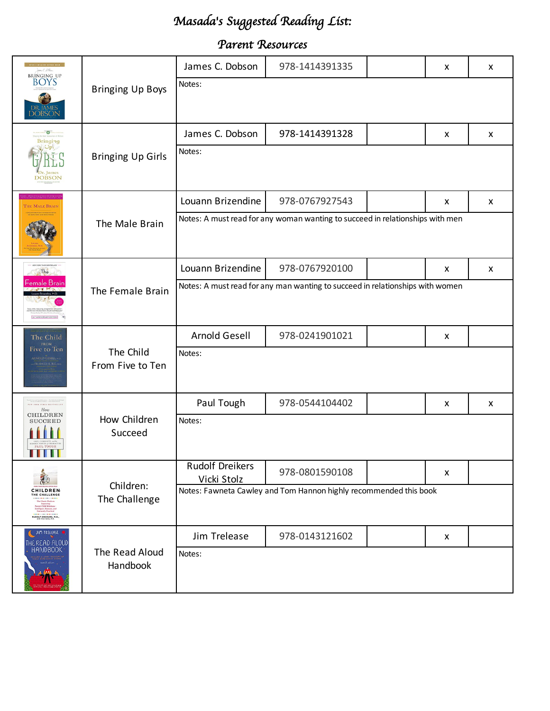# *Masada*'*s Suggested Reading List:*

#### *Parent Resources*

| James C. Allen<br><b>BRINGING UP</b><br><b>BOYS</b><br>DR. JAMES<br>DOBSON                                                                                                                                | <b>Bringing Up Boys</b>       | James C. Dobson                                                               | 978-1414391335 |  | x | X |  |
|-----------------------------------------------------------------------------------------------------------------------------------------------------------------------------------------------------------|-------------------------------|-------------------------------------------------------------------------------|----------------|--|---|---|--|
|                                                                                                                                                                                                           |                               | Notes:                                                                        |                |  |   |   |  |
| $\overline{\bullet}$<br>Bringing<br>Dr. James<br><b>DOBSON</b>                                                                                                                                            | <b>Bringing Up Girls</b>      | James C. Dobson                                                               | 978-1414391328 |  | x | X |  |
|                                                                                                                                                                                                           |                               | Notes:                                                                        |                |  |   |   |  |
| THE MALE BRAIN                                                                                                                                                                                            | The Male Brain                | Louann Brizendine                                                             | 978-0767927543 |  | x | X |  |
|                                                                                                                                                                                                           |                               | Notes: A must read for any woman wanting to succeed in relationships with men |                |  |   |   |  |
| The                                                                                                                                                                                                       |                               | Louann Brizendine                                                             | 978-0767920100 |  | X | X |  |
| emale Drain                                                                                                                                                                                               | The Female Brain              | Notes: A must read for any man wanting to succeed in relationships with women |                |  |   |   |  |
| The Child<br><b>FROM</b><br>Five to Ten<br><b>RNOLD GESELL</b>                                                                                                                                            | The Child<br>From Five to Ten | Arnold Gesell                                                                 | 978-0241901021 |  | x |   |  |
|                                                                                                                                                                                                           |                               | Notes:                                                                        |                |  |   |   |  |
| NEW YORK TIMES BESTSELLER<br>How<br><b>CHILDREN</b><br><b>SUCCEED</b>                                                                                                                                     | How Children<br>Succeed       | Paul Tough                                                                    | 978-0544104402 |  | x | X |  |
|                                                                                                                                                                                                           |                               | Notes:                                                                        |                |  |   |   |  |
| <b>CHILDREN:</b><br>THE CHALLENGE<br>The Classic Work on<br>Improving<br>arent-Child Relations -<br>telligeat, Humane, and<br>Eminently Practical<br><b>JDOLF DREIKURS, M.</b><br>WITH VICKI SOILE, IT.N. | Children:<br>The Challenge    | <b>Rudolf Dreikers</b><br>Vicki Stolz                                         | 978-0801590108 |  | X |   |  |
|                                                                                                                                                                                                           |                               | Notes: Fawneta Cawley and Tom Hannon highly recommended this book             |                |  |   |   |  |
| JIM TRELEASE<br>THE READ-ALOUD<br>HANDBOOK                                                                                                                                                                | The Read Aloud<br>Handbook    | Jim Trelease                                                                  | 978-0143121602 |  | X |   |  |
|                                                                                                                                                                                                           |                               | Notes:                                                                        |                |  |   |   |  |